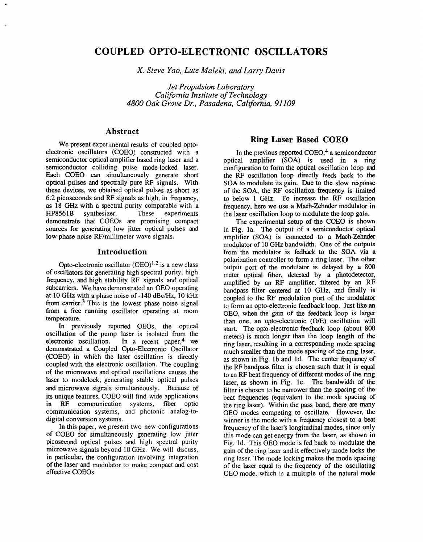# **COUPLED OPTO-ELECTRONIC OSCILLATORS**

*X. Steve Yao, Lute Maleki, and Larry Davis* 

*Jet Propulsion Laboratory California Institute of Technology 4800 Oak Grove Dr., Pasadena, California, 91 109* 

## **Abstract**

We present experimental results of coupled optoelectronic oscillators (COEO) constructed with a semiconductor optical amplifier based ring laser and a semiconductor colliding pulse mode-locked laser. Each COEO can simultaneously generate short optical pulses and spectrally pure RF signals. With these devices, we obtained optical pulses as short as 6.2 picoseconds and RF signals as high, in frequency, as 18 GHz with a spectral purity comparable with a HP8561B synthesizer. These experiments synthesizer. demonstrate that COEOs are promising compact sources for generating low jitter optical pulses and low phase noise RF/millimeter wave signals.

### **Introduction**

Opto-electronic oscillator  $(OEO)^{1,2}$  is a new class of oscillators for generating high spectral purity, high frequency, and high stability RF signals and optical subcarriers. We have demonstrated an OEO operating at 10 GHz with a phase noise of -140 dBc/Hz, 10 kHz from carrier.<sup>3</sup> This is the lowest phase noise signal from a free running oscillator operating at room temperature.

In previously reported OEOs, the optical oscillation of the pump laser is isolated from the electronic oscillation. In a recent paper,  $4$  we In a recent paper, <sup>4</sup> we demonstrated a Coupled Opto-Electronic Oscillator (COEO) in which the laser oscillation is directly coupled with the electronic oscillation. The coupling of the microwave and optical oscillations causes the laser to modelock, generating stable optical pulses and microwave signals simultaneously. Because of its unique features, COEO will find wide applications<br>in RF communication systems. fiber optic communication systems, fiber optic communication systems, and photonic analog-todigital conversion systems.

In this paper, we present two new configurations of COEO for simultaneously generating low jitter picosecond optical pulses and high spectral purity microwave signals beyond IO GHz. We will discuss, in particular, the configuration involving integration **of** the laser and modulator to make compact and cost effective COEOs.

## **Ring Laser Based COEO**

In the previous reported  $COEO<sub>1</sub><sup>4</sup>$  a semiconductor optical amplifier **(SOA)** is used in a ring configuration to form the optical oscillation loop and the RF oscillation loop directly feeds back to the **SOA** to modulate its gain. Due to the slow response of the **SOA,** the RF oscillation frequency is limited to below 1 GHz. To increase the RF oscillation frequency, here we use a Mach-Zehnder modulator in the laser oscillation loop to modulate the loop gain.

The experimental setup of the COEO **is** shown in Fig. la. The output of a semiconductor optical amplifier **(SOA)** is connected to a Mach-Zehnder modulator of 10 GHz bandwidth. One of the outputs from the modulator is fedback to the **SOA** via a polarization controller to form a ring laser. The other output port of the modulator is delayed by a 800 meter optical fiber, detected by a photodetector, amplified by an RF amplifier, filtered by an RF bandpass filter centered at 10 GHz, and finally is coupled to the RF modulation port of the modulator to form an opto-electronic feedback loop. Just like an OEO, when the gain of the feedback loop is larger than one, an opto-electronic *(OE)* oscillation will start. The opto-electronic feedback loop (about *800*  meters) is much longer than the loop length of the ring laser, resulting in a corresponding mode spacing much smaller than the mode spacing of the ring laser, as shown in Fig. lb and Id. The center frequency of the RF bandpass filter is chosen such that it is **qual**  to an RF beat frequency of different modes of the ring laser, as shown in Fig. IC. The bandwidth of the filter is chosen to be narrower than the spacing of the beat frequencies (equivalent to the mode spacing of the ring laser). Within the pass band, there *are* many OEO modes competing to oscillate. However, the winner is the mode with a frequency closest to a beat frequency of the laser's longitudinal modes, since only this mode can get energy from the laser, as shown in Fig. Id. This OEO mode is fed back to modulate the gain of the ring laser and it effectively mode locks the ring laser. The mode locking makes the mode spacing of the laser equal to the frequency of the oscillating OEO mode, which is a multiple of the natural mode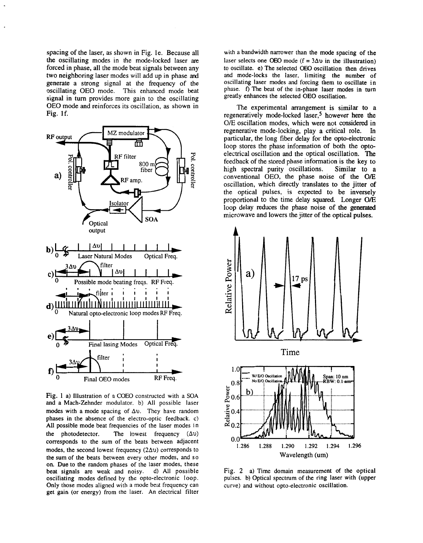spacing of the laser, as shown in Fig. le. Because all the oscillating modes in the mode-locked laser are forced in phase, all the mode beat signals between any two neighboring laser modes will add up in phase and generate **a** strong signal at the frequency of the oscillating OEO mode. This enhanced mode beat signal in turn provides more gain to the oscillating OEO mode and reinforces its oscillation, as shown in Fig. If.



Fig. **1** a) Illustration of a COEO constructed with a SOA and a Mach-Zehnder modulator. b) All possible laser modes with a mode spacing of **Av.** They have random phases in the absence of the electro-optic feedback. c) **All** possible mode beat frequencies of the laser modes in the photodetector. The lowest frequency  $(\Delta v)$ corresponds to the sum of the beats between adjacent modes, the second lowest frequency  $(2\Delta v)$  corresponds to the sum of the beats between every other modes, and *so*  on. Due to the random phases of the laser modes, these beat signals are weak and noisy. d) **All** possible oscillating modes defined by the opto-electronic loop. Only those modes aligned with a mode beat frequency can get gain (or energy) from the laser. An electrical filter

with a bandwidth narrower than the mode spacing **of** the laser selects one OEO mode  $(f = 3\Delta v)$  in the illustration) to oscillate. e) The selected OEO oscillation then drives and mode-locks the laser, limiting the number **of**  oscillating laser modes and forcing them to oscillate in phase. **f)** The beat of the in-phase laser modes in turn greatly enhances the selected OEO oscillation.

The experimental arrangement is similar to a regeneratively mode-locked laser,<sup>5</sup> however here the *O/E* oscillation modes, which were not considered in regenerative mode-locking, play a critical role. In regenerative mode-locking, play a critical role. particular, the long fiber delay for the opto-electronic loop stores the phase information of both the optoelectrical oscillation and the optical oscillation. The feedback of the stored phase information is the key to high spectral purity oscillations. Similar to a high spectral purity oscillations. conventional OEO, the phase noise of the *O/E*  oscillation, which directly translates to the jitter of the optical pulses, is expected to be inversely proportional to the time delay squared. Longer *O/E*  loop delay reduces the phase noise of the generated microwave and lowers the jitter of the optical pulses.



Fig. **2** a) Time domain measurement of he optical pulses. b) Optical spectrum of the ring laser with (upper curve) and without opto-electronic oscillation.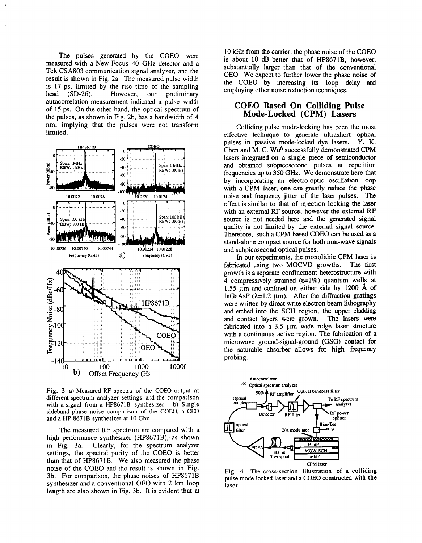<span id="page-2-0"></span>The pulses generated by the COEO were measured with a New Focus 40 GHz detector and a Tek CSA803 communication signal analyzer, and the result is shown in Fig. 2a. The measured pulse width is 17 ps, limited by the rise time of the sampling head (SD-26). However, our preliminary autocorrelation measurement indicated a pulse width of 15 ps. On the other hand, the optical spectrum of the pulses, as shown in Fig. 2b, has a bandwidth of **4**  nm, implying that the pulses were not transform limited.



Fig. 3 a) Measured **RF** spectra of the COEO output at different spectrum analyzer settings and the comparison with a signal from a HP8671B synthesizer. **b)** Single sideband phase noise comparison of the COEO, a OEO and a **HP** 8671B synthesizer at **10** Ghz.

The measured RF spectrum are compared with a high performance synthesizer (HP8671B); as shown in Fig. 3a. Clearly, for the spectrum analyzer settings, the spectral purity of the COEO is better than that of HP8671B. We also measured the phase noise of the COEO and the result is shown in Fig. 3b. For comparison, the phase noises of HP8671B synthesizer and a conventional OEO with **2** km loop length are also shown in Fig. 3b. It is evident that at 10 kHz from the carrier, the phase noise of the COEO is about 10 dB better that of HP8671B, however, substantially larger than that of the conventional OEO. We expect to further lower the phase noise of the COEO by increasing its loop delay **and**  employing other noise reduction techniques.

### **COEO Based On Colliding Pulse Mode-Locked (CPM) Lasers**

Colliding pulse mode-locking has been the most effective tchnique to generate ultrashort optical pulses in passive mode-locked dye lasers. Y. K. Chen and  $\tilde{M}$ . C. Wu<sup>6</sup> successfully demonstrated CPM lasers integrated on a single piece of semiconductor and obtained subpicosecond pulses at repetition frequencies up to 350 GHz. We demonstrate here that by incorporating an electro-optic oscillation loop with a CPM laser, one can greatly reduce the phase noise and frequency jitter of the laser pulses. The effect is similar to that of injection locking the laser with an external RF source, however the external **RF**  source is not needed here and the generated signal quality is not limited by the external signal source. Therefore, such a CPM based COEO can be used as a stand-alone compact source for both mm-wave signals and subpicosecond optical pulses.

In our experiments, the monolithic CPM laser is cated using two MOCVD growths. The first fabricated using two MOCVD growths. growth is a separate confinement heterostructure with 4 compressively strained  $(E=1\%)$  quantum wells at **1.55** pm and confined on either side by **1200 A** of InGaAsP  $(\lambda=1.2 \mu m)$ . After the diffraction gratings were written by direct write electron beam lithography and etched into the SCH region, the upper cladding and contact layers were grown. The lasers were fabricated into a  $3.5 \mu m$  wide ridge laser structure with a continuous active region. The fabrication of a microwave ground-signal-ground (GSG) contact for the saturable absorber allows for high frequency probing.



Fig. 4 The cross-section illustration of a colliding pulse mode-locked laser and **a** COEO constructed with the laser.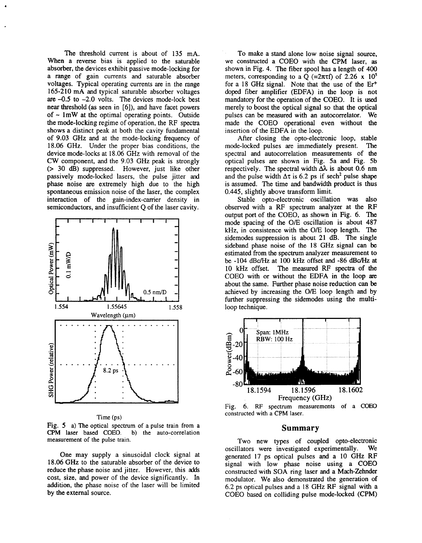The threshold current is about of **135** mA. When a reverse bias is applied to the saturable absorber, the devices exhibit passive mode-locking **for**  a range of gain currents and saturable absorber voltages. Typical operating currents are in the range **165-210** mA and typical saturable absorber voltages are **-0.5** to **-2.0** volts. The devices mode-lock best near threshold (as seen in [6]), and have facet powers of  $\sim 1$ mW at the optimal operating points. Outside the mode-locking regime of operation, the RF spectra shows a distinct peak at both the cavity fundamental of **9.03** GHz and at the mode-locking frequency of **18.06** GHz. Under the proper bias conditions, the device mode-locks at **18.06** GHz with removal of the CW component, and the **9.03** GHz peak is strongly (> *30* dB) suppressed. However, just like other passively mode-locked lasers, the pulse jitter and phase noise are extremely high due to the high spontaneous emission noise of the laser, the complex interaction of the gain-index-carrier density in semiconductors, and insufficient Q of the laser cavity.



Time (ps)

Fig. **5** a) The optical spectrum of a pulse train from a **CPM** laser based COEO. b) the auto-correlation measurement of the pulse train.

One may supply a sinusoidal clock signal at **18.06** GHz to the saturable absorber of the device to reduce the phase noise and jitter. However, this adds cost, size, and power of the device significantly. In addition, the phase noise of the laser will be limited by the external source.

To make a stand alone low noise signal source, we constructed **a** COEO with the CPM laser, **as**  shown in [Fig.](#page-2-0) **4.** The fiber spool has a length of **400**  meters, corresponding to a  $\overrightarrow{O}$  (=2 $\pi$ tf) of 2.26 x 10<sup>5</sup> for a **18** GHz signal. Note that the use of the Er+ doped fiber amplifier (EDFA) in the loop is not mandatory for the operation of the COEO. It is used merely to boost the optical signal so that the optical pulses can be measured with an autocorrelator. We made the COEO operational even without the insertion of the EDFA in the loop.

After closing the opto-electronic loop, stable mode-locked pulses are immediately present. The spectral and autocorrelation measurements of the optical pulses are shown in Fig. 5a and Fig. 5b respectively. The spectral width  $\Delta\lambda$  is about 0.6 nm and the pulse width  $\Delta \tau$  is 6.2 ps if sech<sup>2</sup> pulse shape is assumed. The time and bandwidth product is thus **0.445,** slightly above transform limit.

Stable opto-electronic oscillation was also observed with a RF spectrum analyzer at the RF output port of the COEO, as shown in Fig. 6. The mode spacing of the O/E oscillation is about **487**  kHz, in consistence with the O/E loop length. The sidemodes suppression is about **21** dB. The single sideband phase noise of the **18** GHz signal can be estimated from the spectrum analyzer measurement to be -104 dBc/Hz at 100 kHz offset and -86 dBc/Hz at **10** kHz offset. The measured RF spectra of the COEO with or without the EDFA in the loop are about the same. Further phase noise reduction can be achieved by increasing the O/E loop length and by further suppressing the sidemodes using the multiloop technique.



Fig. **6. RF** spectrum measurements of a *COEO*  constructed with a **CPM** laser.

#### **Summary**

Two new types of coupled opto-electronic oscillators were investigated experimentally. We generated 17 ps optical pulses and a **10** GHz RF signal with low phase noise using a COEO constructed with SOA ring laser and a Mach-Zehnder modulator. We also demonstrated the generation of **6.2** ps optical pulses and a **18** GHz RF signal with a COEO based on colliding pulse mode-locked (CPM)